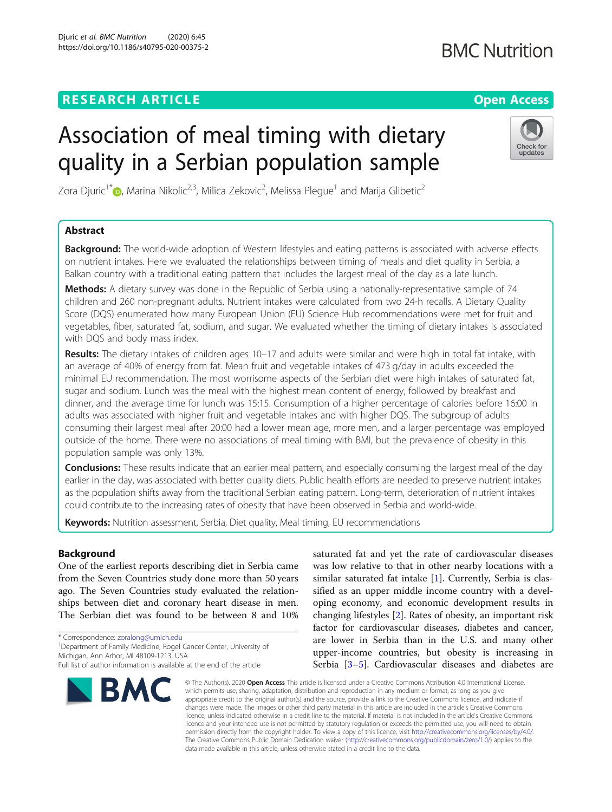# **RESEARCH ARTICLE Example 2014 12:30 The Contract of Contract ACCESS**

# **BMC Nutrition**

# Association of meal timing with dietary quality in a Serbian population sample



Zora Djuric<sup>1\*</sup> $\bm{\odot}$ , Marina Nikolic<sup>2,3</sup>, Milica Zekovic<sup>2</sup>, Melissa Plegue<sup>1</sup> and Marija Glibetic<sup>2</sup>

# Abstract

**Background:** The world-wide adoption of Western lifestyles and eating patterns is associated with adverse effects on nutrient intakes. Here we evaluated the relationships between timing of meals and diet quality in Serbia, a Balkan country with a traditional eating pattern that includes the largest meal of the day as a late lunch.

Methods: A dietary survey was done in the Republic of Serbia using a nationally-representative sample of 74 children and 260 non-pregnant adults. Nutrient intakes were calculated from two 24-h recalls. A Dietary Quality Score (DQS) enumerated how many European Union (EU) Science Hub recommendations were met for fruit and vegetables, fiber, saturated fat, sodium, and sugar. We evaluated whether the timing of dietary intakes is associated with DQS and body mass index.

Results: The dietary intakes of children ages 10-17 and adults were similar and were high in total fat intake, with an average of 40% of energy from fat. Mean fruit and vegetable intakes of 473 g/day in adults exceeded the minimal EU recommendation. The most worrisome aspects of the Serbian diet were high intakes of saturated fat, sugar and sodium. Lunch was the meal with the highest mean content of energy, followed by breakfast and dinner, and the average time for lunch was 15:15. Consumption of a higher percentage of calories before 16:00 in adults was associated with higher fruit and vegetable intakes and with higher DQS. The subgroup of adults consuming their largest meal after 20:00 had a lower mean age, more men, and a larger percentage was employed outside of the home. There were no associations of meal timing with BMI, but the prevalence of obesity in this population sample was only 13%.

**Conclusions:** These results indicate that an earlier meal pattern, and especially consuming the largest meal of the day earlier in the day, was associated with better quality diets. Public health efforts are needed to preserve nutrient intakes as the population shifts away from the traditional Serbian eating pattern. Long-term, deterioration of nutrient intakes could contribute to the increasing rates of obesity that have been observed in Serbia and world-wide.

Keywords: Nutrition assessment, Serbia, Diet quality, Meal timing, EU recommendations

# Background

One of the earliest reports describing diet in Serbia came from the Seven Countries study done more than 50 years ago. The Seven Countries study evaluated the relationships between diet and coronary heart disease in men. The Serbian diet was found to be between 8 and 10%

\* Correspondence: [zoralong@umich.edu](mailto:zoralong@umich.edu) <sup>1</sup>

<sup>1</sup> Department of Family Medicine, Rogel Cancer Center, University of Michigan, Ann Arbor, MI 48109-1213, USA

Full list of author information is available at the end of the article



saturated fat and yet the rate of cardiovascular diseases was low relative to that in other nearby locations with a similar saturated fat intake [[1](#page-10-0)]. Currently, Serbia is classified as an upper middle income country with a developing economy, and economic development results in changing lifestyles [[2\]](#page-10-0). Rates of obesity, an important risk factor for cardiovascular diseases, diabetes and cancer, are lower in Serbia than in the U.S. and many other upper-income countries, but obesity is increasing in Serbia [\[3](#page-10-0)–[5\]](#page-10-0). Cardiovascular diseases and diabetes are

© The Author(s). 2020 Open Access This article is licensed under a Creative Commons Attribution 4.0 International License, which permits use, sharing, adaptation, distribution and reproduction in any medium or format, as long as you give appropriate credit to the original author(s) and the source, provide a link to the Creative Commons licence, and indicate if changes were made. The images or other third party material in this article are included in the article's Creative Commons licence, unless indicated otherwise in a credit line to the material. If material is not included in the article's Creative Commons licence and your intended use is not permitted by statutory regulation or exceeds the permitted use, you will need to obtain permission directly from the copyright holder. To view a copy of this licence, visit [http://creativecommons.org/licenses/by/4.0/.](http://creativecommons.org/licenses/by/4.0/) The Creative Commons Public Domain Dedication waiver [\(http://creativecommons.org/publicdomain/zero/1.0/](http://creativecommons.org/publicdomain/zero/1.0/)) applies to the data made available in this article, unless otherwise stated in a credit line to the data.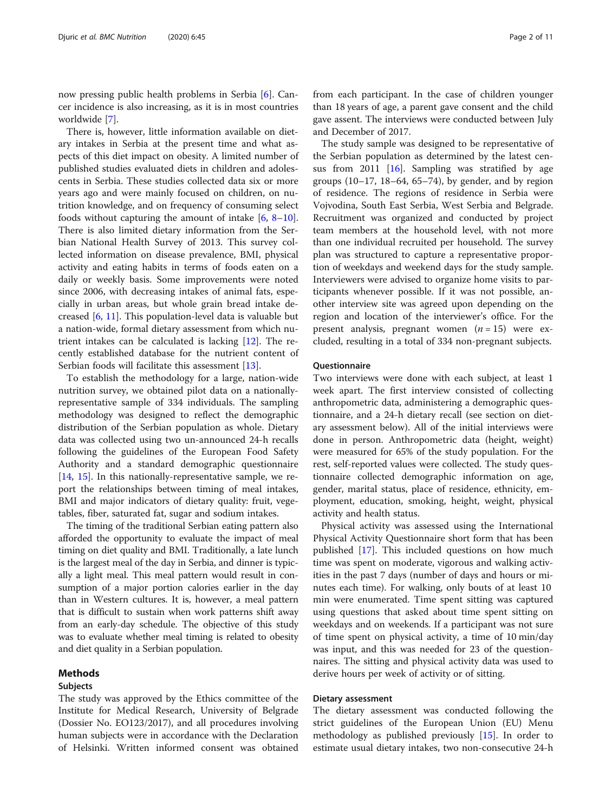now pressing public health problems in Serbia [[6\]](#page-10-0). Cancer incidence is also increasing, as it is in most countries worldwide [\[7](#page-10-0)].

There is, however, little information available on dietary intakes in Serbia at the present time and what aspects of this diet impact on obesity. A limited number of published studies evaluated diets in children and adolescents in Serbia. These studies collected data six or more years ago and were mainly focused on children, on nutrition knowledge, and on frequency of consuming select foods without capturing the amount of intake  $[6, 8-10]$  $[6, 8-10]$  $[6, 8-10]$  $[6, 8-10]$  $[6, 8-10]$  $[6, 8-10]$ . There is also limited dietary information from the Serbian National Health Survey of 2013. This survey collected information on disease prevalence, BMI, physical activity and eating habits in terms of foods eaten on a daily or weekly basis. Some improvements were noted since 2006, with decreasing intakes of animal fats, especially in urban areas, but whole grain bread intake decreased [\[6,](#page-10-0) [11\]](#page-10-0). This population-level data is valuable but a nation-wide, formal dietary assessment from which nutrient intakes can be calculated is lacking [\[12](#page-10-0)]. The recently established database for the nutrient content of Serbian foods will facilitate this assessment [\[13\]](#page-10-0).

To establish the methodology for a large, nation-wide nutrition survey, we obtained pilot data on a nationallyrepresentative sample of 334 individuals. The sampling methodology was designed to reflect the demographic distribution of the Serbian population as whole. Dietary data was collected using two un-announced 24-h recalls following the guidelines of the European Food Safety Authority and a standard demographic questionnaire [[14,](#page-10-0) [15](#page-10-0)]. In this nationally-representative sample, we report the relationships between timing of meal intakes, BMI and major indicators of dietary quality: fruit, vegetables, fiber, saturated fat, sugar and sodium intakes.

The timing of the traditional Serbian eating pattern also afforded the opportunity to evaluate the impact of meal timing on diet quality and BMI. Traditionally, a late lunch is the largest meal of the day in Serbia, and dinner is typically a light meal. This meal pattern would result in consumption of a major portion calories earlier in the day than in Western cultures. It is, however, a meal pattern that is difficult to sustain when work patterns shift away from an early-day schedule. The objective of this study was to evaluate whether meal timing is related to obesity and diet quality in a Serbian population.

# Methods

# Subjects

The study was approved by the Ethics committee of the Institute for Medical Research, University of Belgrade (Dossier No. EO123/2017), and all procedures involving human subjects were in accordance with the Declaration of Helsinki. Written informed consent was obtained

from each participant. In the case of children younger than 18 years of age, a parent gave consent and the child gave assent. The interviews were conducted between July and December of 2017.

The study sample was designed to be representative of the Serbian population as determined by the latest cen-sus from 2011 [[16](#page-10-0)]. Sampling was stratified by age groups (10–17, 18–64, 65–74), by gender, and by region of residence. The regions of residence in Serbia were Vojvodina, South East Serbia, West Serbia and Belgrade. Recruitment was organized and conducted by project team members at the household level, with not more than one individual recruited per household. The survey plan was structured to capture a representative proportion of weekdays and weekend days for the study sample. Interviewers were advised to organize home visits to participants whenever possible. If it was not possible, another interview site was agreed upon depending on the region and location of the interviewer's office. For the present analysis, pregnant women  $(n = 15)$  were excluded, resulting in a total of 334 non-pregnant subjects.

# Questionnaire

Two interviews were done with each subject, at least 1 week apart. The first interview consisted of collecting anthropometric data, administering a demographic questionnaire, and a 24-h dietary recall (see section on dietary assessment below). All of the initial interviews were done in person. Anthropometric data (height, weight) were measured for 65% of the study population. For the rest, self-reported values were collected. The study questionnaire collected demographic information on age, gender, marital status, place of residence, ethnicity, employment, education, smoking, height, weight, physical activity and health status.

Physical activity was assessed using the International Physical Activity Questionnaire short form that has been published [\[17\]](#page-10-0). This included questions on how much time was spent on moderate, vigorous and walking activities in the past 7 days (number of days and hours or minutes each time). For walking, only bouts of at least 10 min were enumerated. Time spent sitting was captured using questions that asked about time spent sitting on weekdays and on weekends. If a participant was not sure of time spent on physical activity, a time of 10 min/day was input, and this was needed for 23 of the questionnaires. The sitting and physical activity data was used to derive hours per week of activity or of sitting.

# Dietary assessment

The dietary assessment was conducted following the strict guidelines of the European Union (EU) Menu methodology as published previously [[15\]](#page-10-0). In order to estimate usual dietary intakes, two non-consecutive 24-h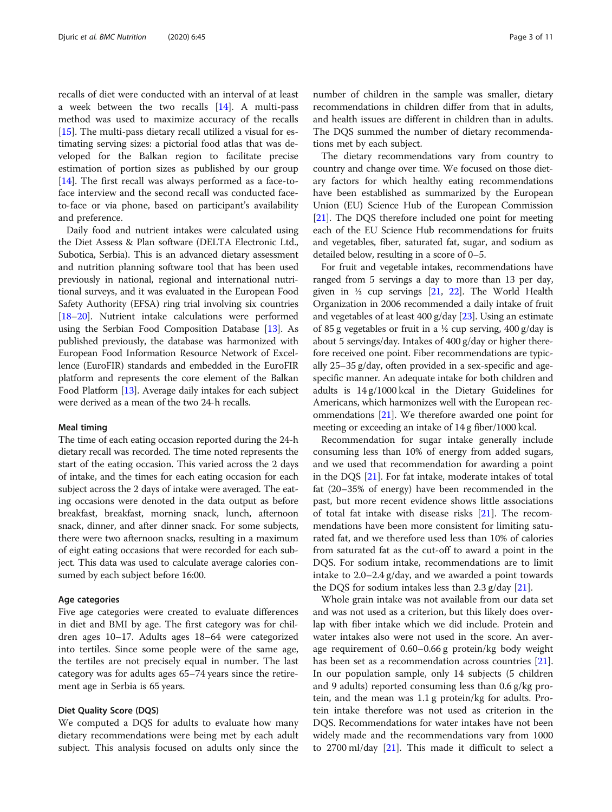recalls of diet were conducted with an interval of at least a week between the two recalls [[14](#page-10-0)]. A multi-pass method was used to maximize accuracy of the recalls [[15\]](#page-10-0). The multi-pass dietary recall utilized a visual for estimating serving sizes: a pictorial food atlas that was developed for the Balkan region to facilitate precise estimation of portion sizes as published by our group [[14\]](#page-10-0). The first recall was always performed as a face-toface interview and the second recall was conducted faceto-face or via phone, based on participant's availability and preference.

Daily food and nutrient intakes were calculated using the Diet Assess & Plan software (DELTA Electronic Ltd., Subotica, Serbia). This is an advanced dietary assessment and nutrition planning software tool that has been used previously in national, regional and international nutritional surveys, and it was evaluated in the European Food Safety Authority (EFSA) ring trial involving six countries [[18](#page-10-0)–[20\]](#page-10-0). Nutrient intake calculations were performed using the Serbian Food Composition Database [\[13](#page-10-0)]. As published previously, the database was harmonized with European Food Information Resource Network of Excellence (EuroFIR) standards and embedded in the EuroFIR platform and represents the core element of the Balkan Food Platform [[13](#page-10-0)]. Average daily intakes for each subject were derived as a mean of the two 24-h recalls.

# Meal timing

The time of each eating occasion reported during the 24-h dietary recall was recorded. The time noted represents the start of the eating occasion. This varied across the 2 days of intake, and the times for each eating occasion for each subject across the 2 days of intake were averaged. The eating occasions were denoted in the data output as before breakfast, breakfast, morning snack, lunch, afternoon snack, dinner, and after dinner snack. For some subjects, there were two afternoon snacks, resulting in a maximum of eight eating occasions that were recorded for each subject. This data was used to calculate average calories consumed by each subject before 16:00.

## Age categories

Five age categories were created to evaluate differences in diet and BMI by age. The first category was for children ages 10–17. Adults ages 18–64 were categorized into tertiles. Since some people were of the same age, the tertiles are not precisely equal in number. The last category was for adults ages 65–74 years since the retirement age in Serbia is 65 years.

# Diet Quality Score (DQS)

We computed a DQS for adults to evaluate how many dietary recommendations were being met by each adult subject. This analysis focused on adults only since the number of children in the sample was smaller, dietary recommendations in children differ from that in adults, and health issues are different in children than in adults. The DQS summed the number of dietary recommendations met by each subject.

The dietary recommendations vary from country to country and change over time. We focused on those dietary factors for which healthy eating recommendations have been established as summarized by the European Union (EU) Science Hub of the European Commission [[21](#page-10-0)]. The DQS therefore included one point for meeting each of the EU Science Hub recommendations for fruits and vegetables, fiber, saturated fat, sugar, and sodium as detailed below, resulting in a score of 0–5.

For fruit and vegetable intakes, recommendations have ranged from 5 servings a day to more than 13 per day, given in  $\frac{1}{2}$  cup servings [[21](#page-10-0), [22\]](#page-10-0). The World Health Organization in 2006 recommended a daily intake of fruit and vegetables of at least 400 g/day  $[23]$  $[23]$  $[23]$ . Using an estimate of 85 g vegetables or fruit in a  $\frac{1}{2}$  cup serving, 400 g/day is about 5 servings/day. Intakes of 400 g/day or higher therefore received one point. Fiber recommendations are typically 25–35 g/day, often provided in a sex-specific and agespecific manner. An adequate intake for both children and adults is 14 g/1000 kcal in the Dietary Guidelines for Americans, which harmonizes well with the European recommendations [\[21\]](#page-10-0). We therefore awarded one point for meeting or exceeding an intake of 14 g fiber/1000 kcal.

Recommendation for sugar intake generally include consuming less than 10% of energy from added sugars, and we used that recommendation for awarding a point in the DQS [[21](#page-10-0)]. For fat intake, moderate intakes of total fat (20–35% of energy) have been recommended in the past, but more recent evidence shows little associations of total fat intake with disease risks [\[21](#page-10-0)]. The recommendations have been more consistent for limiting saturated fat, and we therefore used less than 10% of calories from saturated fat as the cut-off to award a point in the DQS. For sodium intake, recommendations are to limit intake to 2.0–2.4 g/day, and we awarded a point towards the DQS for sodium intakes less than 2.3 g/day [[21](#page-10-0)].

Whole grain intake was not available from our data set and was not used as a criterion, but this likely does overlap with fiber intake which we did include. Protein and water intakes also were not used in the score. An average requirement of 0.60–0.66 g protein/kg body weight has been set as a recommendation across countries [\[21](#page-10-0)]. In our population sample, only 14 subjects (5 children and 9 adults) reported consuming less than 0.6 g/kg protein, and the mean was 1.1 g protein/kg for adults. Protein intake therefore was not used as criterion in the DQS. Recommendations for water intakes have not been widely made and the recommendations vary from 1000 to 2700 ml/day [[21\]](#page-10-0). This made it difficult to select a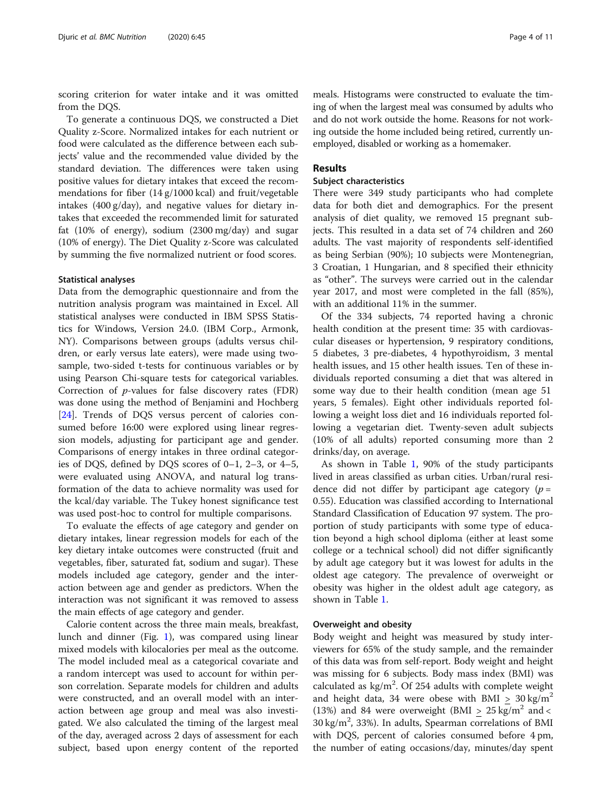scoring criterion for water intake and it was omitted from the DQS.

To generate a continuous DQS, we constructed a Diet Quality z-Score. Normalized intakes for each nutrient or food were calculated as the difference between each subjects' value and the recommended value divided by the standard deviation. The differences were taken using positive values for dietary intakes that exceed the recommendations for fiber (14 g/1000 kcal) and fruit/vegetable intakes (400 g/day), and negative values for dietary intakes that exceeded the recommended limit for saturated fat (10% of energy), sodium (2300 mg/day) and sugar (10% of energy). The Diet Quality z-Score was calculated by summing the five normalized nutrient or food scores.

# Statistical analyses

Data from the demographic questionnaire and from the nutrition analysis program was maintained in Excel. All statistical analyses were conducted in IBM SPSS Statistics for Windows, Version 24.0. (IBM Corp., Armonk, NY). Comparisons between groups (adults versus children, or early versus late eaters), were made using twosample, two-sided t-tests for continuous variables or by using Pearson Chi-square tests for categorical variables. Correction of p-values for false discovery rates (FDR) was done using the method of Benjamini and Hochberg [[24\]](#page-10-0). Trends of DQS versus percent of calories consumed before 16:00 were explored using linear regression models, adjusting for participant age and gender. Comparisons of energy intakes in three ordinal categories of DQS, defined by DQS scores of 0–1, 2–3, or 4–5, were evaluated using ANOVA, and natural log transformation of the data to achieve normality was used for the kcal/day variable. The Tukey honest significance test was used post-hoc to control for multiple comparisons.

To evaluate the effects of age category and gender on dietary intakes, linear regression models for each of the key dietary intake outcomes were constructed (fruit and vegetables, fiber, saturated fat, sodium and sugar). These models included age category, gender and the interaction between age and gender as predictors. When the interaction was not significant it was removed to assess the main effects of age category and gender.

Calorie content across the three main meals, breakfast, lunch and dinner (Fig. [1](#page-4-0)), was compared using linear mixed models with kilocalories per meal as the outcome. The model included meal as a categorical covariate and a random intercept was used to account for within person correlation. Separate models for children and adults were constructed, and an overall model with an interaction between age group and meal was also investigated. We also calculated the timing of the largest meal of the day, averaged across 2 days of assessment for each subject, based upon energy content of the reported

meals. Histograms were constructed to evaluate the timing of when the largest meal was consumed by adults who and do not work outside the home. Reasons for not working outside the home included being retired, currently unemployed, disabled or working as a homemaker.

# Results

# Subject characteristics

There were 349 study participants who had complete data for both diet and demographics. For the present analysis of diet quality, we removed 15 pregnant subjects. This resulted in a data set of 74 children and 260 adults. The vast majority of respondents self-identified as being Serbian (90%); 10 subjects were Montenegrian, 3 Croatian, 1 Hungarian, and 8 specified their ethnicity as "other". The surveys were carried out in the calendar year 2017, and most were completed in the fall (85%), with an additional 11% in the summer.

Of the 334 subjects, 74 reported having a chronic health condition at the present time: 35 with cardiovascular diseases or hypertension, 9 respiratory conditions, 5 diabetes, 3 pre-diabetes, 4 hypothyroidism, 3 mental health issues, and 15 other health issues. Ten of these individuals reported consuming a diet that was altered in some way due to their health condition (mean age 51 years, 5 females). Eight other individuals reported following a weight loss diet and 16 individuals reported following a vegetarian diet. Twenty-seven adult subjects (10% of all adults) reported consuming more than 2 drinks/day, on average.

As shown in Table [1](#page-5-0), 90% of the study participants lived in areas classified as urban cities. Urban/rural residence did not differ by participant age category ( $p =$ 0.55). Education was classified according to International Standard Classification of Education 97 system. The proportion of study participants with some type of education beyond a high school diploma (either at least some college or a technical school) did not differ significantly by adult age category but it was lowest for adults in the oldest age category. The prevalence of overweight or obesity was higher in the oldest adult age category, as shown in Table [1.](#page-5-0)

# Overweight and obesity

Body weight and height was measured by study interviewers for 65% of the study sample, and the remainder of this data was from self-report. Body weight and height was missing for 6 subjects. Body mass index (BMI) was calculated as  $\text{kg/m}^2$ . Of 254 adults with complete weight and height data, 34 were obese with BMI  $> 30 \text{ kg/m}^2$ (13%) and 84 were overweight (BMI >  $25 \text{ kg/m}^2$  and < 30 kg/m<sup>2</sup> , 33%). In adults, Spearman correlations of BMI with DQS, percent of calories consumed before 4 pm, the number of eating occasions/day, minutes/day spent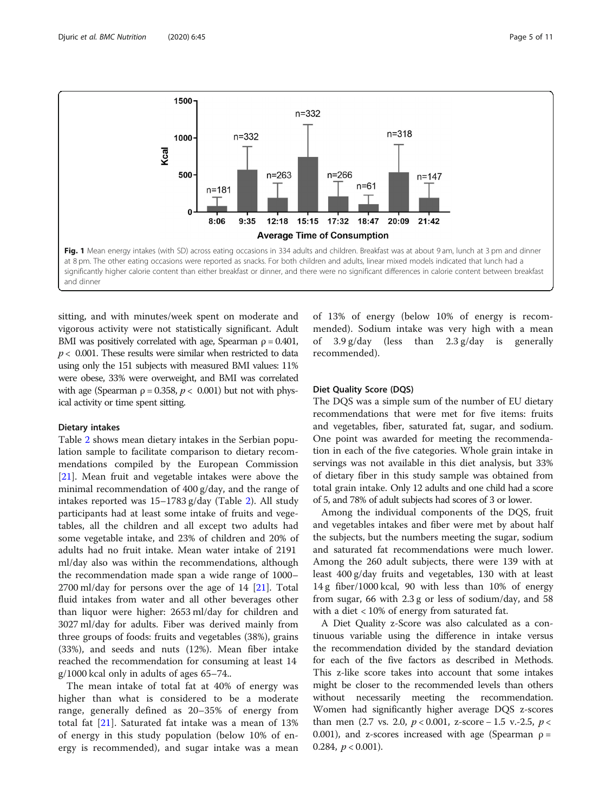<span id="page-4-0"></span>

sitting, and with minutes/week spent on moderate and vigorous activity were not statistically significant. Adult BMI was positively correlated with age, Spearman  $\rho = 0.401$ ,  $p < 0.001$ . These results were similar when restricted to data using only the 151 subjects with measured BMI values: 11% were obese, 33% were overweight, and BMI was correlated with age (Spearman  $\rho = 0.358$ ,  $p < 0.001$ ) but not with physical activity or time spent sitting.

# Dietary intakes

Table [2](#page-5-0) shows mean dietary intakes in the Serbian population sample to facilitate comparison to dietary recommendations compiled by the European Commission [[21\]](#page-10-0). Mean fruit and vegetable intakes were above the minimal recommendation of 400 g/day, and the range of intakes reported was 15–1783 g/day (Table [2](#page-5-0)). All study participants had at least some intake of fruits and vegetables, all the children and all except two adults had some vegetable intake, and 23% of children and 20% of adults had no fruit intake. Mean water intake of 2191 ml/day also was within the recommendations, although the recommendation made span a wide range of 1000– 2700 ml/day for persons over the age of 14 [\[21](#page-10-0)]. Total fluid intakes from water and all other beverages other than liquor were higher: 2653 ml/day for children and 3027 ml/day for adults. Fiber was derived mainly from three groups of foods: fruits and vegetables (38%), grains (33%), and seeds and nuts (12%). Mean fiber intake reached the recommendation for consuming at least 14 g/1000 kcal only in adults of ages 65–74..

The mean intake of total fat at 40% of energy was higher than what is considered to be a moderate range, generally defined as 20–35% of energy from total fat [[21\]](#page-10-0). Saturated fat intake was a mean of 13% of energy in this study population (below 10% of energy is recommended), and sugar intake was a mean

of 13% of energy (below 10% of energy is recommended). Sodium intake was very high with a mean of 3.9 g/day (less than 2.3 g/day is generally recommended).

# Diet Quality Score (DQS)

The DQS was a simple sum of the number of EU dietary recommendations that were met for five items: fruits and vegetables, fiber, saturated fat, sugar, and sodium. One point was awarded for meeting the recommendation in each of the five categories. Whole grain intake in servings was not available in this diet analysis, but 33% of dietary fiber in this study sample was obtained from total grain intake. Only 12 adults and one child had a score of 5, and 78% of adult subjects had scores of 3 or lower.

Among the individual components of the DQS, fruit and vegetables intakes and fiber were met by about half the subjects, but the numbers meeting the sugar, sodium and saturated fat recommendations were much lower. Among the 260 adult subjects, there were 139 with at least 400 g/day fruits and vegetables, 130 with at least 14 g fiber/1000 kcal, 90 with less than 10% of energy from sugar, 66 with 2.3 g or less of sodium/day, and 58 with a diet < 10% of energy from saturated fat.

A Diet Quality z-Score was also calculated as a continuous variable using the difference in intake versus the recommendation divided by the standard deviation for each of the five factors as described in Methods. This z-like score takes into account that some intakes might be closer to the recommended levels than others without necessarily meeting the recommendation. Women had significantly higher average DQS z-scores than men (2.7 vs. 2.0,  $p < 0.001$ , z-score – 1.5 v.-2.5,  $p <$ 0.001), and z-scores increased with age (Spearman  $\rho =$ 0.284,  $p < 0.001$ ).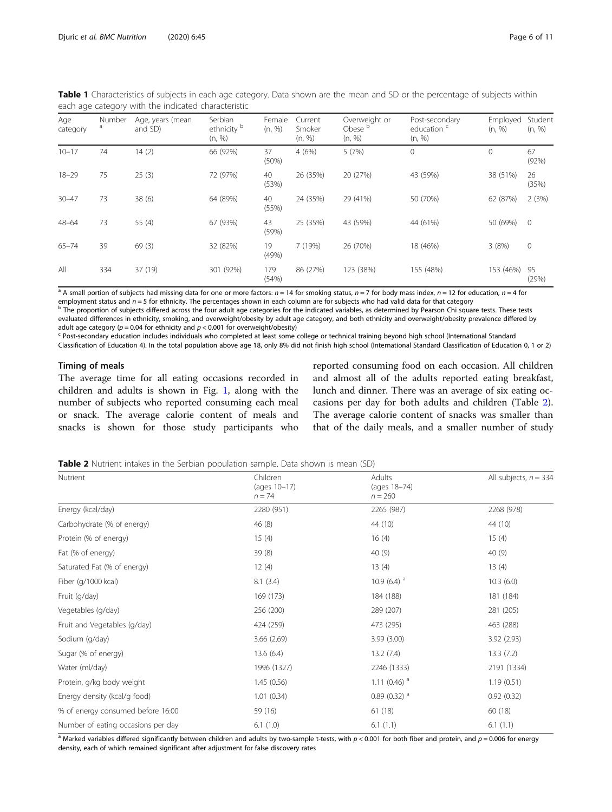<span id="page-5-0"></span>Table 1 Characteristics of subjects in each age category. Data shown are the mean and SD or the percentage of subjects within each age category with the indicated characteristic

| Age<br>category | Number<br>a | Age, years (mean<br>and SD) | Serbian<br>ethnicity <sup>b</sup><br>(n, %) | Female<br>(n, %) | Current<br>Smoker<br>(n, %) | Overweight or<br>Obese <sup>b</sup><br>(n, %) | Post-secondary<br>education <sup>c</sup><br>(n, %) | Employed<br>(n, %) | Student<br>(n, %) |
|-----------------|-------------|-----------------------------|---------------------------------------------|------------------|-----------------------------|-----------------------------------------------|----------------------------------------------------|--------------------|-------------------|
| $10 - 17$       | 74          | 14(2)                       | 66 (92%)                                    | 37<br>(50%)      | 4(6%)                       | 5 (7%)                                        | 0                                                  | $\Omega$           | 67<br>(92%)       |
| $18 - 29$       | 75          | 25(3)                       | 72 (97%)                                    | 40<br>(53%)      | 26 (35%)                    | 20 (27%)                                      | 43 (59%)                                           | 38 (51%)           | 26<br>(35%)       |
| $30 - 47$       | 73          | 38(6)                       | 64 (89%)                                    | 40<br>(55%)      | 24 (35%)                    | 29 (41%)                                      | 50 (70%)                                           | 62 (87%)           | 2(3%)             |
| $48 - 64$       | 73          | 55 $(4)$                    | 67 (93%)                                    | 43<br>(59%)      | 25 (35%)                    | 43 (59%)                                      | 44 (61%)                                           | 50 (69%)           | $\mathbf{0}$      |
| $65 - 74$       | 39          | 69(3)                       | 32 (82%)                                    | 19<br>(49%)      | 7 (19%)                     | 26 (70%)                                      | 18 (46%)                                           | 3(8%)              | $\mathbf{0}$      |
| All             | 334         | 37 (19)                     | 301 (92%)                                   | 179<br>(54%)     | 86 (27%)                    | 123 (38%)                                     | 155 (48%)                                          | 153 (46%)          | 95<br>(29%)       |

<sup>a</sup> A small portion of subjects had missing data for one or more factors:  $n = 14$  for smoking status,  $n = 7$  for body mass index,  $n = 12$  for education,  $n = 4$  for

employment status and  $n = 5$  for ethnicity. The percentages shown in each column are for subjects who had valid data for that category<br><sup>b</sup> The proportion of subjects differed across the four adult age categories for the i evaluated differences in ethnicity, smoking, and overweight/obesity by adult age category, and both ethnicity and overweight/obesity prevalence differed by adult age category ( $p = 0.04$  for ethnicity and  $p < 0.001$  for overweight/obesity)<br><sup>c</sup> Post-secondary education includes individuals who completed at least some college or technical training beyond high school (Internatio

Classification of Education 4). In the total population above age 18, only 8% did not finish high school (International Standard Classification of Education 0, 1 or 2)

# Timing of meals

The average time for all eating occasions recorded in children and adults is shown in Fig. [1,](#page-4-0) along with the number of subjects who reported consuming each meal or snack. The average calorie content of meals and snacks is shown for those study participants who reported consuming food on each occasion. All children and almost all of the adults reported eating breakfast, lunch and dinner. There was an average of six eating occasions per day for both adults and children (Table 2). The average calorie content of snacks was smaller than that of the daily meals, and a smaller number of study

Table 2 Nutrient intakes in the Serbian population sample. Data shown is mean (SD)

| Nutrient                           | Children     | Adults                     | All subjects, $n = 334$ |
|------------------------------------|--------------|----------------------------|-------------------------|
|                                    | (ages 10-17) | (ages 18-74)               |                         |
|                                    | $n = 74$     | $n = 260$                  |                         |
| Energy (kcal/day)                  | 2280 (951)   | 2265 (987)                 | 2268 (978)              |
| Carbohydrate (% of energy)         | 46(8)        | 44 (10)                    | 44 (10)                 |
| Protein (% of energy)              | 15(4)        | 16(4)                      | 15(4)                   |
| Fat (% of energy)                  | 39(8)        | 40 (9)                     | 40(9)                   |
| Saturated Fat (% of energy)        | 12(4)        | 13(4)                      | 13(4)                   |
| Fiber (g/1000 kcal)                | 8.1(3.4)     | 10.9 (6.4) $a^3$           | 10.3(6.0)               |
| Fruit (g/day)                      | 169 (173)    | 184 (188)                  | 181 (184)               |
| Vegetables (g/day)                 | 256 (200)    | 289 (207)                  | 281 (205)               |
| Fruit and Vegetables (g/day)       | 424 (259)    | 473 (295)                  | 463 (288)               |
| Sodium (g/day)                     | 3.66(2.69)   | 3.99(3.00)                 | 3.92(2.93)              |
| Sugar (% of energy)                | 13.6(6.4)    | 13.2(7.4)                  | 13.3(7.2)               |
| Water (ml/day)                     | 1996 (1327)  | 2246 (1333)                | 2191 (1334)             |
| Protein, g/kg body weight          | 1.45(0.56)   | 1.11 $(0.46)$ <sup>a</sup> | 1.19(0.51)              |
| Energy density (kcal/g food)       | 1.01(0.34)   | $0.89(0.32)$ <sup>a</sup>  | 0.92(0.32)              |
| % of energy consumed before 16:00  | 59 (16)      | 61 (18)                    | 60 (18)                 |
| Number of eating occasions per day | 6.1(1.0)     | 6.1(1.1)                   | 6.1(1.1)                |

<sup>a</sup> Marked variables differed significantly between children and adults by two-sample t-tests, with  $p < 0.001$  for both fiber and protein, and  $p = 0.006$  for energy density, each of which remained significant after adjustment for false discovery rates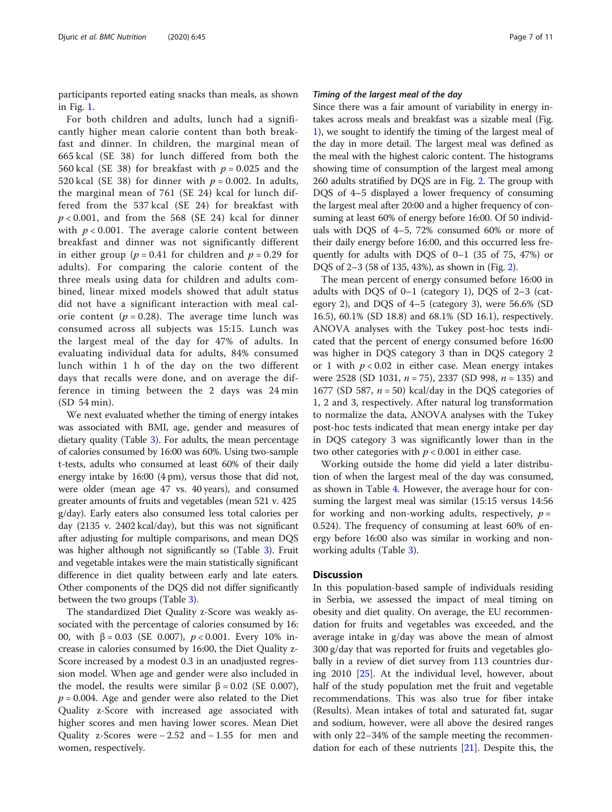participants reported eating snacks than meals, as shown in Fig. [1.](#page-4-0)

For both children and adults, lunch had a significantly higher mean calorie content than both breakfast and dinner. In children, the marginal mean of 665 kcal (SE 38) for lunch differed from both the 560 kcal (SE 38) for breakfast with  $p = 0.025$  and the 520 kcal (SE 38) for dinner with  $p = 0.002$ . In adults, the marginal mean of 761 (SE 24) kcal for lunch differed from the 537 kcal (SE 24) for breakfast with  $p < 0.001$ , and from the 568 (SE 24) kcal for dinner with  $p < 0.001$ . The average calorie content between breakfast and dinner was not significantly different in either group ( $p = 0.41$  for children and  $p = 0.29$  for adults). For comparing the calorie content of the three meals using data for children and adults combined, linear mixed models showed that adult status did not have a significant interaction with meal calorie content ( $p = 0.28$ ). The average time lunch was consumed across all subjects was 15:15. Lunch was the largest meal of the day for 47% of adults. In evaluating individual data for adults, 84% consumed lunch within 1 h of the day on the two different days that recalls were done, and on average the difference in timing between the 2 days was 24 min (SD 54 min).

We next evaluated whether the timing of energy intakes was associated with BMI, age, gender and measures of dietary quality (Table [3](#page-7-0)). For adults, the mean percentage of calories consumed by 16:00 was 60%. Using two-sample t-tests, adults who consumed at least 60% of their daily energy intake by 16:00 (4 pm), versus those that did not, were older (mean age 47 vs. 40 years), and consumed greater amounts of fruits and vegetables (mean 521 v. 425 g/day). Early eaters also consumed less total calories per day (2135 v. 2402 kcal/day), but this was not significant after adjusting for multiple comparisons, and mean DQS was higher although not significantly so (Table [3\)](#page-7-0). Fruit and vegetable intakes were the main statistically significant difference in diet quality between early and late eaters. Other components of the DQS did not differ significantly between the two groups (Table [3](#page-7-0)).

The standardized Diet Quality z-Score was weakly associated with the percentage of calories consumed by 16: 00, with  $β = 0.03$  (SE 0.007),  $p < 0.001$ . Every 10% increase in calories consumed by 16:00, the Diet Quality z-Score increased by a modest 0.3 in an unadjusted regression model. When age and gender were also included in the model, the results were similar  $β = 0.02$  (SE 0.007),  $p = 0.004$ . Age and gender were also related to the Diet Quality z-Score with increased age associated with higher scores and men having lower scores. Mean Diet Quality z-Scores were − 2.52 and − 1.55 for men and women, respectively.

# Timing of the largest meal of the day

Since there was a fair amount of variability in energy intakes across meals and breakfast was a sizable meal (Fig. [1\)](#page-4-0), we sought to identify the timing of the largest meal of the day in more detail. The largest meal was defined as the meal with the highest caloric content. The histograms showing time of consumption of the largest meal among 260 adults stratified by DQS are in Fig. [2](#page-8-0). The group with DQS of 4–5 displayed a lower frequency of consuming the largest meal after 20:00 and a higher frequency of consuming at least 60% of energy before 16:00. Of 50 individuals with DQS of 4–5, 72% consumed 60% or more of their daily energy before 16:00, and this occurred less frequently for adults with DQS of 0–1 (35 of 75, 47%) or DQS of 2–3 (58 of 135, 43%), as shown in (Fig. [2](#page-8-0)).

The mean percent of energy consumed before 16:00 in adults with DQS of 0–1 (category 1), DQS of 2–3 (category 2), and DQS of 4–5 (category 3), were 56.6% (SD 16.5), 60.1% (SD 18.8) and 68.1% (SD 16.1), respectively. ANOVA analyses with the Tukey post-hoc tests indicated that the percent of energy consumed before 16:00 was higher in DQS category 3 than in DQS category 2 or 1 with  $p < 0.02$  in either case. Mean energy intakes were 2528 (SD 1031,  $n = 75$ ), 2337 (SD 998,  $n = 135$ ) and 1677 (SD 587,  $n = 50$ ) kcal/day in the DQS categories of 1, 2 and 3, respectively. After natural log transformation to normalize the data, ANOVA analyses with the Tukey post-hoc tests indicated that mean energy intake per day in DQS category 3 was significantly lower than in the two other categories with  $p < 0.001$  in either case.

Working outside the home did yield a later distribution of when the largest meal of the day was consumed, as shown in Table [4](#page-9-0). However, the average hour for consuming the largest meal was similar (15:15 versus 14:56 for working and non-working adults, respectively,  $p =$ 0.524). The frequency of consuming at least 60% of energy before 16:00 also was similar in working and nonworking adults (Table [3](#page-7-0)).

# **Discussion**

In this population-based sample of individuals residing in Serbia, we assessed the impact of meal timing on obesity and diet quality. On average, the EU recommendation for fruits and vegetables was exceeded, and the average intake in g/day was above the mean of almost 300 g/day that was reported for fruits and vegetables globally in a review of diet survey from 113 countries during 2010 [\[25\]](#page-10-0). At the individual level, however, about half of the study population met the fruit and vegetable recommendations. This was also true for fiber intake (Results). Mean intakes of total and saturated fat, sugar and sodium, however, were all above the desired ranges with only 22–34% of the sample meeting the recommendation for each of these nutrients [[21\]](#page-10-0). Despite this, the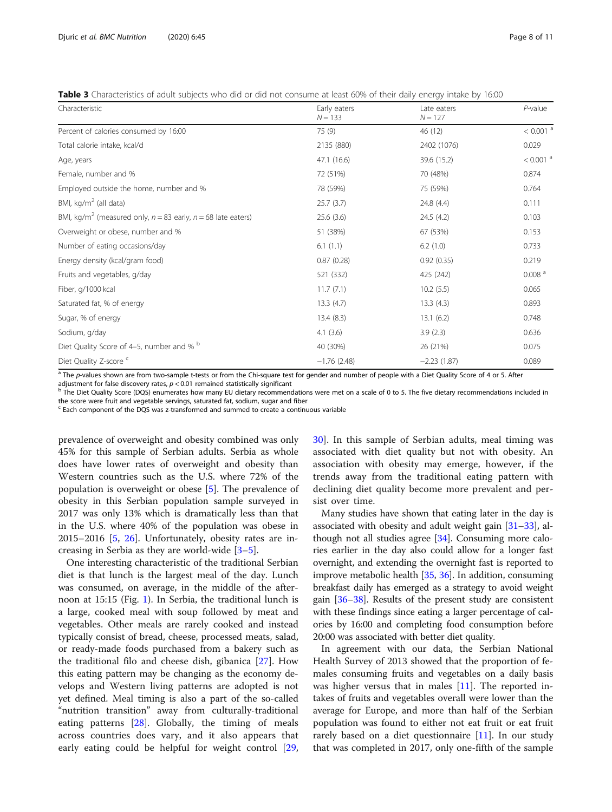<span id="page-7-0"></span>Table 3 Characteristics of adult subjects who did or did not consume at least 60% of their daily energy intake by 16:00

| Characteristic                                                               | Early eaters<br>$N = 133$ | Late eaters<br>$N = 127$ | $P$ -value             |
|------------------------------------------------------------------------------|---------------------------|--------------------------|------------------------|
| Percent of calories consumed by 16:00                                        | 75 (9)                    | 46 (12)                  | $< 0.001$ <sup>a</sup> |
| Total calorie intake, kcal/d                                                 | 2135 (880)                | 2402 (1076)              | 0.029                  |
| Age, years                                                                   | 47.1 (16.6)               | 39.6 (15.2)              | $< 0.001$ <sup>a</sup> |
| Female, number and %                                                         | 72 (51%)                  | 70 (48%)                 | 0.874                  |
| Employed outside the home, number and %                                      | 78 (59%)                  | 75 (59%)                 | 0.764                  |
| BMI, $\text{kg/m}^2$ (all data)                                              | 25.7(3.7)                 | 24.8 (4.4)               | 0.111                  |
| BMI, kg/m <sup>2</sup> (measured only, $n = 83$ early, $n = 68$ late eaters) | 25.6(3.6)                 | 24.5(4.2)                | 0.103                  |
| Overweight or obese, number and %                                            | 51 (38%)                  | 67 (53%)                 | 0.153                  |
| Number of eating occasions/day                                               | 6.1(1.1)                  | 6.2(1.0)                 | 0.733                  |
| Energy density (kcal/gram food)                                              | 0.87(0.28)                | 0.92(0.35)               | 0.219                  |
| Fruits and vegetables, g/day                                                 | 521 (332)                 | 425 (242)                | 0.008 <sup>a</sup>     |
| Fiber, g/1000 kcal                                                           | 11.7(7.1)                 | 10.2(5.5)                | 0.065                  |
| Saturated fat, % of energy                                                   | 13.3(4.7)                 | 13.3(4.3)                | 0.893                  |
| Sugar, % of energy                                                           | 13.4(8.3)                 | 13.1(6.2)                | 0.748                  |
| Sodium, g/day                                                                | 4.1(3.6)                  | 3.9(2.3)                 | 0.636                  |
| Diet Quality Score of 4-5, number and % <sup>b</sup>                         | 40 (30%)                  | 26 (21%)                 | 0.075                  |
| Diet Quality Z-score <sup>c</sup>                                            | $-1.76(2.48)$             | $-2.23(1.87)$            | 0.089                  |

<sup>a</sup> The p-values shown are from two-sample t-tests or from the Chi-square test for gender and number of people with a Diet Quality Score of 4 or 5. After adjustment for false discovery rates, p < 0.01 remained statistically significant<br><sup>b</sup> The Diet Quality Score (DQS) enumerates how many EU dietary recommendations were met on a scale of 0 to 5. The five dietary recommendati

the score were fruit and vegetable servings, saturated fat, sodium, sugar and fiber

<sup>c</sup> Each component of the DQS was z-transformed and summed to create a continuous variable

prevalence of overweight and obesity combined was only 45% for this sample of Serbian adults. Serbia as whole does have lower rates of overweight and obesity than Western countries such as the U.S. where 72% of the population is overweight or obese [[5\]](#page-10-0). The prevalence of obesity in this Serbian population sample surveyed in 2017 was only 13% which is dramatically less than that in the U.S. where 40% of the population was obese in 2015–2016 [[5,](#page-10-0) [26](#page-10-0)]. Unfortunately, obesity rates are increasing in Serbia as they are world-wide [[3](#page-10-0)–[5\]](#page-10-0).

One interesting characteristic of the traditional Serbian diet is that lunch is the largest meal of the day. Lunch was consumed, on average, in the middle of the afternoon at 15:15 (Fig. [1\)](#page-4-0). In Serbia, the traditional lunch is a large, cooked meal with soup followed by meat and vegetables. Other meals are rarely cooked and instead typically consist of bread, cheese, processed meats, salad, or ready-made foods purchased from a bakery such as the traditional filo and cheese dish, gibanica [[27\]](#page-10-0). How this eating pattern may be changing as the economy develops and Western living patterns are adopted is not yet defined. Meal timing is also a part of the so-called "nutrition transition" away from culturally-traditional eating patterns [[28](#page-10-0)]. Globally, the timing of meals across countries does vary, and it also appears that early eating could be helpful for weight control [\[29](#page-10-0), [30\]](#page-10-0). In this sample of Serbian adults, meal timing was associated with diet quality but not with obesity. An association with obesity may emerge, however, if the trends away from the traditional eating pattern with declining diet quality become more prevalent and persist over time.

Many studies have shown that eating later in the day is associated with obesity and adult weight gain [[31](#page-10-0)–[33\]](#page-10-0), although not all studies agree [[34](#page-10-0)]. Consuming more calories earlier in the day also could allow for a longer fast overnight, and extending the overnight fast is reported to improve metabolic health [\[35,](#page-10-0) [36](#page-10-0)]. In addition, consuming breakfast daily has emerged as a strategy to avoid weight gain  $[36-38]$  $[36-38]$  $[36-38]$ . Results of the present study are consistent with these findings since eating a larger percentage of calories by 16:00 and completing food consumption before 20:00 was associated with better diet quality.

In agreement with our data, the Serbian National Health Survey of 2013 showed that the proportion of females consuming fruits and vegetables on a daily basis was higher versus that in males [[11\]](#page-10-0). The reported intakes of fruits and vegetables overall were lower than the average for Europe, and more than half of the Serbian population was found to either not eat fruit or eat fruit rarely based on a diet questionnaire  $[11]$  $[11]$ . In our study that was completed in 2017, only one-fifth of the sample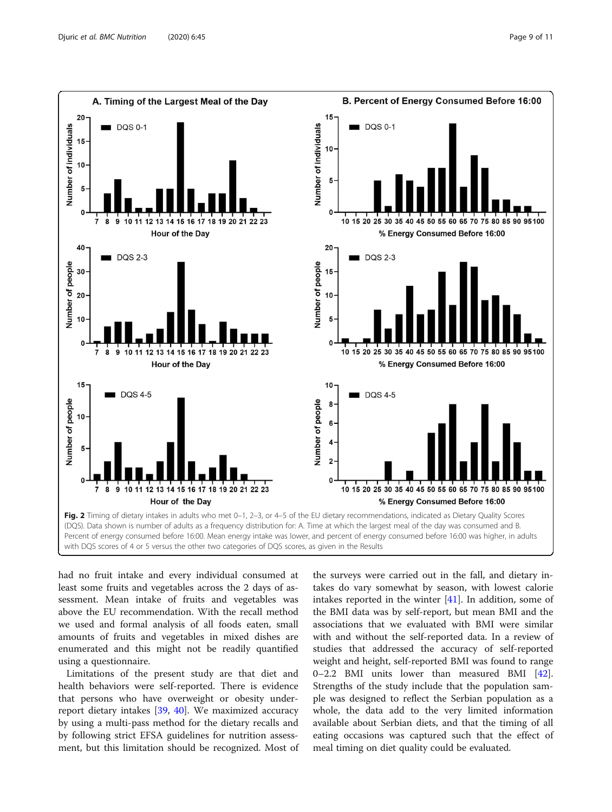<span id="page-8-0"></span>

had no fruit intake and every individual consumed at least some fruits and vegetables across the 2 days of assessment. Mean intake of fruits and vegetables was above the EU recommendation. With the recall method we used and formal analysis of all foods eaten, small amounts of fruits and vegetables in mixed dishes are enumerated and this might not be readily quantified using a questionnaire.

Limitations of the present study are that diet and health behaviors were self-reported. There is evidence that persons who have overweight or obesity underreport dietary intakes [\[39](#page-10-0), [40](#page-10-0)]. We maximized accuracy by using a multi-pass method for the dietary recalls and by following strict EFSA guidelines for nutrition assessment, but this limitation should be recognized. Most of

the surveys were carried out in the fall, and dietary intakes do vary somewhat by season, with lowest calorie intakes reported in the winter [[41](#page-10-0)]. In addition, some of the BMI data was by self-report, but mean BMI and the associations that we evaluated with BMI were similar with and without the self-reported data. In a review of studies that addressed the accuracy of self-reported weight and height, self-reported BMI was found to range 0–2.2 BMI units lower than measured BMI [\[42](#page-10-0)]. Strengths of the study include that the population sample was designed to reflect the Serbian population as a whole, the data add to the very limited information available about Serbian diets, and that the timing of all eating occasions was captured such that the effect of meal timing on diet quality could be evaluated.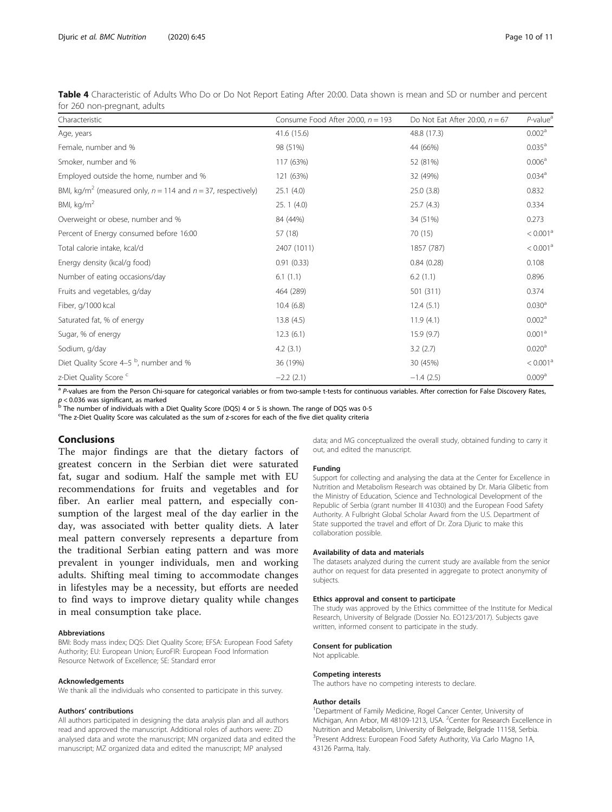<span id="page-9-0"></span>

| Table 4 Characteristic of Adults Who Do or Do Not Report Eating After 20:00. Data shown is mean and SD or number and percent |  |  |
|------------------------------------------------------------------------------------------------------------------------------|--|--|
| for 260 non-pregnant, adults                                                                                                 |  |  |

| Characteristic                                                                | Consume Food After 20:00, $n = 193$ | Do Not Eat After 20:00, $n = 67$ | $P$ -value <sup>a</sup> |
|-------------------------------------------------------------------------------|-------------------------------------|----------------------------------|-------------------------|
| Age, years                                                                    | 41.6(15.6)                          | 48.8 (17.3)                      | 0.002 <sup>a</sup>      |
| Female, number and %                                                          | 98 (51%)                            | 44 (66%)                         | 0.035 <sup>a</sup>      |
| Smoker, number and %                                                          | 117 (63%)                           | 52 (81%)                         | 0.006 <sup>a</sup>      |
| Employed outside the home, number and %                                       | 121 (63%)                           | 32 (49%)                         | $0.034$ <sup>a</sup>    |
| BMI, kg/m <sup>2</sup> (measured only, $n = 114$ and $n = 37$ , respectively) | 25.1(4.0)                           | 25.0(3.8)                        | 0.832                   |
| BMI, $kg/m2$                                                                  | 25.1(4.0)                           | 25.7(4.3)                        | 0.334                   |
| Overweight or obese, number and %                                             | 84 (44%)                            | 34 (51%)                         | 0.273                   |
| Percent of Energy consumed before 16:00                                       | 57 (18)                             | 70 (15)                          | < 0.001 <sup>a</sup>    |
| Total calorie intake, kcal/d                                                  | 2407 (1011)                         | 1857 (787)                       | < 0.001 <sup>a</sup>    |
| Energy density (kcal/g food)                                                  | 0.91(0.33)                          | 0.84(0.28)                       | 0.108                   |
| Number of eating occasions/day                                                | 6.1(1.1)                            | 6.2(1.1)                         | 0.896                   |
| Fruits and vegetables, g/day                                                  | 464 (289)                           | 501 (311)                        | 0.374                   |
| Fiber, g/1000 kcal                                                            | 10.4(6.8)                           | 12.4(5.1)                        | 0.030 <sup>a</sup>      |
| Saturated fat, % of energy                                                    | 13.8(4.5)                           | 11.9(4.1)                        | 0.002 <sup>a</sup>      |
| Sugar, % of energy                                                            | 12.3(6.1)                           | 15.9(9.7)                        | 0.001 <sup>a</sup>      |
| Sodium, g/day                                                                 | 4.2(3.1)                            | 3.2(2.7)                         | 0.020 <sup>a</sup>      |
| Diet Quality Score 4–5 <sup>b</sup> , number and %                            | 36 (19%)                            | 30 (45%)                         | < 0.001 <sup>a</sup>    |
| z-Diet Quality Score <sup>c</sup>                                             | $-2.2$ (2.1)                        | $-1.4(2.5)$                      | 0.009 <sup>a</sup>      |

a P-values are from the Person Chi-square for categorical variables or from two-sample t-tests for continuous variables. After correction for False Discovery Rates,  $p < 0.036$  was significant, as marked<br>b The number of the state of

The number of individuals with a Diet Quality Score (DQS) 4 or 5 is shown. The range of DQS was 0-5

<sup>c</sup>The z-Diet Quality Score was calculated as the sum of z-scores for each of the five diet quality criteria

# Conclusions

The major findings are that the dietary factors of greatest concern in the Serbian diet were saturated fat, sugar and sodium. Half the sample met with EU recommendations for fruits and vegetables and for fiber. An earlier meal pattern, and especially consumption of the largest meal of the day earlier in the day, was associated with better quality diets. A later meal pattern conversely represents a departure from the traditional Serbian eating pattern and was more prevalent in younger individuals, men and working adults. Shifting meal timing to accommodate changes in lifestyles may be a necessity, but efforts are needed to find ways to improve dietary quality while changes in meal consumption take place.

#### Abbreviations

BMI: Body mass index; DQS: Diet Quality Score; EFSA: European Food Safety Authority; EU: European Union; EuroFIR: European Food Information Resource Network of Excellence; SE: Standard error

## Acknowledgements

We thank all the individuals who consented to participate in this survey.

#### Authors' contributions

All authors participated in designing the data analysis plan and all authors read and approved the manuscript. Additional roles of authors were: ZD analysed data and wrote the manuscript; MN organized data and edited the manuscript; MZ organized data and edited the manuscript; MP analysed

data; and MG conceptualized the overall study, obtained funding to carry it out, and edited the manuscript.

### Funding

Support for collecting and analysing the data at the Center for Excellence in Nutrition and Metabolism Research was obtained by Dr. Maria Glibetic from the Ministry of Education, Science and Technological Development of the Republic of Serbia (grant number III 41030) and the European Food Safety Authority. A Fulbright Global Scholar Award from the U.S. Department of State supported the travel and effort of Dr. Zora Djuric to make this collaboration possible.

#### Availability of data and materials

The datasets analyzed during the current study are available from the senior author on request for data presented in aggregate to protect anonymity of subjects.

# Ethics approval and consent to participate

The study was approved by the Ethics committee of the Institute for Medical Research, University of Belgrade (Dossier No. EO123/2017). Subjects gave written, informed consent to participate in the study.

# Consent for publication

Not applicable.

# Competing interests

The authors have no competing interests to declare.

#### Author details

<sup>1</sup>Department of Family Medicine, Rogel Cancer Center, University of Michigan, Ann Arbor, MI 48109-1213, USA. <sup>2</sup> Center for Research Excellence in Nutrition and Metabolism, University of Belgrade, Belgrade 11158, Serbia. 3 Present Address: European Food Safety Authority, Via Carlo Magno 1A, 43126 Parma, Italy.